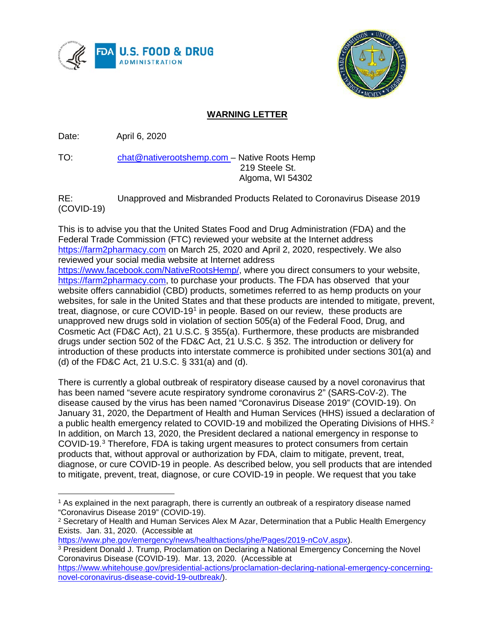



## **WARNING LETTER**

Date: April 6, 2020

TO: [chat@nativerootshemp.com –](mailto:chat@nativerootshemp.com) Native Roots Hemp 219 Steele St. Algoma, WI 54302

RE: Unapproved and Misbranded Products Related to Coronavirus Disease 2019 (COVID-19)

This is to advise you that the United States Food and Drug Administration (FDA) and the Federal Trade Commission (FTC) reviewed your website at the Internet address [https://farm2pharmacy.com](https://farm2pharmacy.com/) on March 25, 2020 and April 2, 2020, respectively. We also reviewed your social media website at Internet address [https://www.facebook.com/NativeRootsHemp/,](https://www.facebook.com/NativeRootsHemp/) where you direct consumers to your website, [https://farm2pharmacy.com,](https://farm2pharmacy.com/) to purchase your products. The FDA has observed that your website offers cannabidiol (CBD) products, sometimes referred to as hemp products on your websites, for sale in the United States and that these products are intended to mitigate, prevent, treat, diagnose, or cure COVID-19<sup>1</sup> in people. Based on our review, these products are unapproved new drugs sold in violation of section 505(a) of the Federal Food, Drug, and Cosmetic Act (FD&C Act), 21 U.S.C. § 355(a). Furthermore, these products are misbranded drugs under section 502 of the FD&C Act, 21 U.S.C. § 352. The introduction or delivery for introduction of these products into interstate commerce is prohibited under sections 301(a) and (d) of the FD&C Act, 21 U.S.C. § 331(a) and (d).

There is currently a global outbreak of respiratory disease caused by a novel coronavirus that has been named "severe acute respiratory syndrome coronavirus 2" (SARS-CoV-2). The disease caused by the virus has been named "Coronavirus Disease 2019" (COVID-19). On January 31, 2020, the Department of Health and Human Services (HHS) issued a declaration of a public health emergency related to COVID-19 and mobilized the Operating Divisions of HHS.<sup>[2](#page-0-1)</sup> In addition, on March 13, 2020, the President declared a national emergency in response to COVID-19.[3](#page-0-2) Therefore, FDA is taking urgent measures to protect consumers from certain products that, without approval or authorization by FDA, claim to mitigate, prevent, treat, diagnose, or cure COVID-19 in people. As described below, you sell products that are intended to mitigate, prevent, treat, diagnose, or cure COVID-19 in people. We request that you take

<span id="page-0-0"></span>l <sup>1</sup> As explained in the next paragraph, there is currently an outbreak of a respiratory disease named "Coronavirus Disease 2019" (COVID-19).

<span id="page-0-1"></span><sup>&</sup>lt;sup>2</sup> Secretary of Health and Human Services Alex M Azar, Determination that a Public Health Emergency Exists. Jan. 31, 2020. (Accessible at

[https://www.phe.gov/emergency/news/healthactions/phe/Pages/2019-nCoV.aspx\)](https://www.phe.gov/emergency/news/healthactions/phe/Pages/2019-nCoV.aspx).

<span id="page-0-2"></span><sup>&</sup>lt;sup>3</sup> President Donald J. Trump, Proclamation on Declaring a National Emergency Concerning the Novel Coronavirus Disease (COVID-19). Mar. 13, 2020. (Accessible at

[https://www.whitehouse.gov/presidential-actions/proclamation-declaring-national-emergency-concerning](https://www.whitehouse.gov/presidential-actions/proclamation-declaring-national-emergency-concerning-novel-coronavirus-disease-covid-19-outbreak/)[novel-coronavirus-disease-covid-19-outbreak/\)](https://www.whitehouse.gov/presidential-actions/proclamation-declaring-national-emergency-concerning-novel-coronavirus-disease-covid-19-outbreak/).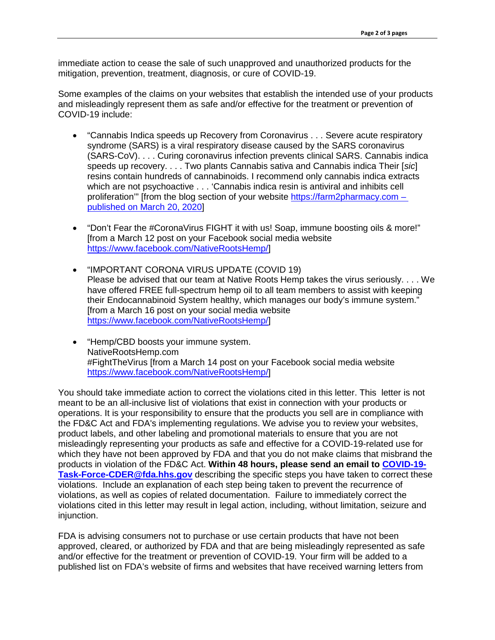immediate action to cease the sale of such unapproved and unauthorized products for the mitigation, prevention, treatment, diagnosis, or cure of COVID-19.

Some examples of the claims on your websites that establish the intended use of your products and misleadingly represent them as safe and/or effective for the treatment or prevention of COVID-19 include:

- "Cannabis Indica speeds up Recovery from Coronavirus . . . Severe acute respiratory syndrome (SARS) is a viral respiratory disease caused by the SARS coronavirus (SARS-CoV). . . . Curing coronavirus infection prevents clinical SARS. Cannabis indica speeds up recovery. . . . Two plants Cannabis sativa and Cannabis indica Their [*sic*] resins contain hundreds of cannabinoids. I recommend only cannabis indica extracts which are not psychoactive . . . 'Cannabis indica resin is antiviral and inhibits cell proliferation'" [from the blog section of your website [https://farm2pharmacy.com](https://farm2pharmacy.com/) – published on March 20, 2020]
- "Don't Fear the #CoronaVirus FIGHT it with us! Soap, immune boosting oils & more!" [from a March 12 post on your Facebook social media website [https://www.facebook.com/NativeRootsHemp/\]](https://www.facebook.com/NativeRootsHemp/)
- "IMPORTANT CORONA VIRUS UPDATE (COVID 19) Please be advised that our team at Native Roots Hemp takes the virus seriously. . . . We have offered FREE full-spectrum hemp oil to all team members to assist with keeping their Endocannabinoid System healthy, which manages our body's immune system." [from a March 16 post on your social media website [https://www.facebook.com/NativeRootsHemp/\]](https://www.facebook.com/NativeRootsHemp/)
- "Hemp/CBD boosts your immune system. NativeRootsHemp.com #FightTheVirus [from a March 14 post on your Facebook social media website [https://www.facebook.com/NativeRootsHemp/\]](https://www.facebook.com/NativeRootsHemp/)

You should take immediate action to correct the violations cited in this letter. This letter is not meant to be an all-inclusive list of violations that exist in connection with your products or operations. It is your responsibility to ensure that the products you sell are in compliance with the FD&C Act and FDA's implementing regulations. We advise you to review your websites, product labels, and other labeling and promotional materials to ensure that you are not misleadingly representing your products as safe and effective for a COVID-19-related use for which they have not been approved by FDA and that you do not make claims that misbrand the products in violation of the FD&C Act. **Within 48 hours, please send an email to [COVID-19-](mailto:COVID-19-Task-Force-CDER@fda.hhs.gov) [Task-Force-CDER@fda.hhs.gov](mailto:COVID-19-Task-Force-CDER@fda.hhs.gov)** describing the specific steps you have taken to correct these violations. Include an explanation of each step being taken to prevent the recurrence of violations, as well as copies of related documentation. Failure to immediately correct the violations cited in this letter may result in legal action, including, without limitation, seizure and injunction.

FDA is advising consumers not to purchase or use certain products that have not been approved, cleared, or authorized by FDA and that are being misleadingly represented as safe and/or effective for the treatment or prevention of COVID-19. Your firm will be added to a published list on FDA's website of firms and websites that have received warning letters from